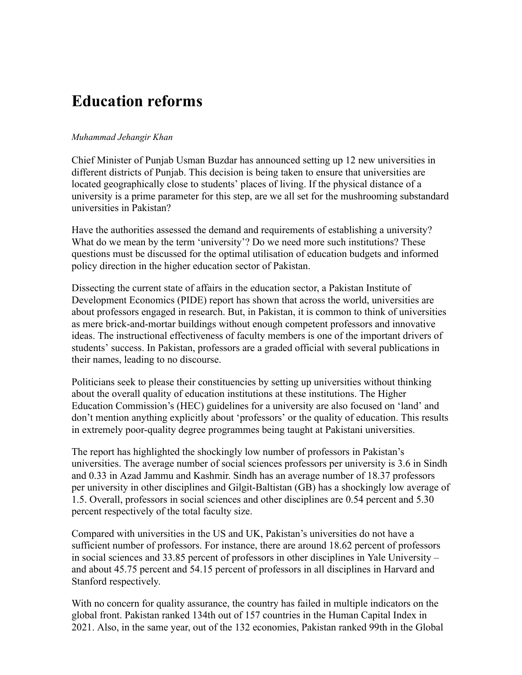## **Education reforms**

## *Muhammad Jehangir Khan*

Chief Minister of Punjab Usman Buzdar has announced setting up 12 new universities in different districts of Punjab. This decision is being taken to ensure that universities are located geographically close to students' places of living. If the physical distance of a university is a prime parameter for this step, are we all set for the mushrooming substandard universities in Pakistan?

Have the authorities assessed the demand and requirements of establishing a university? What do we mean by the term 'university'? Do we need more such institutions? These questions must be discussed for the optimal utilisation of education budgets and informed policy direction in the higher education sector of Pakistan.

Dissecting the current state of affairs in the education sector, a Pakistan Institute of Development Economics (PIDE) report has shown that across the world, universities are about professors engaged in research. But, in Pakistan, it is common to think of universities as mere brick-and-mortar buildings without enough competent professors and innovative ideas. The instructional effectiveness of faculty members is one of the important drivers of students' success. In Pakistan, professors are a graded official with several publications in their names, leading to no discourse.

Politicians seek to please their constituencies by setting up universities without thinking about the overall quality of education institutions at these institutions. The Higher Education Commission's (HEC) guidelines for a university are also focused on 'land' and don't mention anything explicitly about 'professors' or the quality of education. This results in extremely poor-quality degree programmes being taught at Pakistani universities.

The report has highlighted the shockingly low number of professors in Pakistan's universities. The average number of social sciences professors per university is 3.6 in Sindh and 0.33 in Azad Jammu and Kashmir. Sindh has an average number of 18.37 professors per university in other disciplines and Gilgit-Baltistan (GB) has a shockingly low average of 1.5. Overall, professors in social sciences and other disciplines are 0.54 percent and 5.30 percent respectively of the total faculty size.

Compared with universities in the US and UK, Pakistan's universities do not have a sufficient number of professors. For instance, there are around 18.62 percent of professors in social sciences and 33.85 percent of professors in other disciplines in Yale University – and about 45.75 percent and 54.15 percent of professors in all disciplines in Harvard and Stanford respectively.

With no concern for quality assurance, the country has failed in multiple indicators on the global front. Pakistan ranked 134th out of 157 countries in the Human Capital Index in 2021. Also, in the same year, out of the 132 economies, Pakistan ranked 99th in the Global